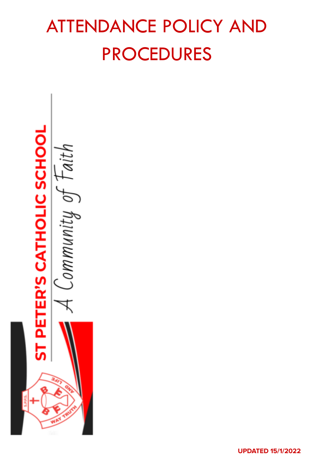# ATTENDANCE POLICY AND PROCEDURES

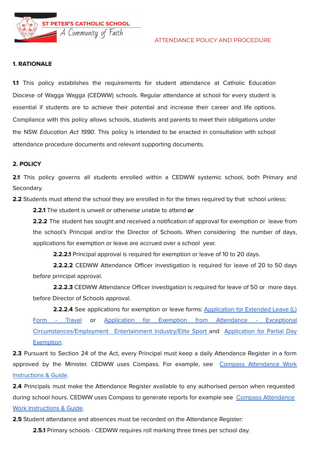**ST PETER'S CATHOLIC SCHOOL** Community of Faith



#### **1. RATIONALE**

**1.1** This policy establishes the requirements for student attendance at Catholic Education Diocese of Wagga Wagga (CEDWW) schools. Regular attendance at school for every student is essential if students are to achieve their potential and increase their career and life options. Compliance with this policy allows schools, students and parents to meet their obligations under the NSW Education Act 1990. This policy is intended to be enacted in consultation with school attendance procedure documents and relevant supporting documents.

#### **2. POLICY**

**2.1** This policy governs all students enrolled within a CEDWW systemic school, both Primary and Secondary.

**2.2** Students must attend the school they are enrolled in for the times required by that school unless:

**2.2.1** The student is unwell or otherwise unable to attend **or**

**2.2.2** The student has sought and received a notification of approval for exemption or leave from the school's Principal and/or the Director of Schools. When considering the number of days, applications for exemption or leave are accrued over a school year.

**2.2.2.1** Principal approval is required for exemption or leave of 10 to 20 days.

**2.2.2.2** CEDWW Attendance Officer investigation is required for leave of 20 to 50 days before principal approval.

**2.2.2.3** CEDWW Attendance Officer investigation is required for leave of 50 or more days before Director of Schools approval.

**2.2.2.4** See applications for exemption or leave forms: [Application](https://drive.google.com/file/d/14qAurBKpCmxrdWol6_YHPT2IC8FM8TAb/view) for Extended Leave (L) Form - [Travel](https://drive.google.com/file/d/14qAurBKpCmxrdWol6_YHPT2IC8FM8TAb/view) or Application for Exemption from [Attendance](https://drive.google.com/file/d/1LWq_ZV87c2ci5ZMsk9Mec0vq1vS0o94X/view) - Exceptional [Circumstances/Employment](https://drive.google.com/file/d/1LWq_ZV87c2ci5ZMsk9Mec0vq1vS0o94X/view) Entertainment Industry/Elite Sport and [Application](https://drive.google.com/file/d/1mUjGdGvnJKwLx9t82jN3Mj99L1IVpXTe/view) for Partial Day [Exemption](https://drive.google.com/file/d/1mUjGdGvnJKwLx9t82jN3Mj99L1IVpXTe/view).

**2.3** Pursuant to Section 24 of the Act, every Principal must keep a daily Attendance Register in a form approved by the Minister. CEDWW uses Compass. For example, see Compass [Attendance](https://docs.google.com/document/d/1Bh-Qu6nGhcKso8ZQ2vGZqi2pQQajw5PPEerIXPMlRnk/edit) Work [Instructions](https://docs.google.com/document/d/1Bh-Qu6nGhcKso8ZQ2vGZqi2pQQajw5PPEerIXPMlRnk/edit) & Guide.

**2.4** Principals must make the Attendance Register available to any authorised person when requested during school hours. CEDWW uses Compass to generate reports for example see Compass [Attendance](https://docs.google.com/document/d/1Bh-Qu6nGhcKso8ZQ2vGZqi2pQQajw5PPEerIXPMlRnk/edit) Work [Instructions](https://docs.google.com/document/d/1Bh-Qu6nGhcKso8ZQ2vGZqi2pQQajw5PPEerIXPMlRnk/edit) & Guide.

**2.5** Student attendance and absences must be recorded on the Attendance Register:

**2.5.1** Primary schools - CEDWW requires roll marking three times per school day.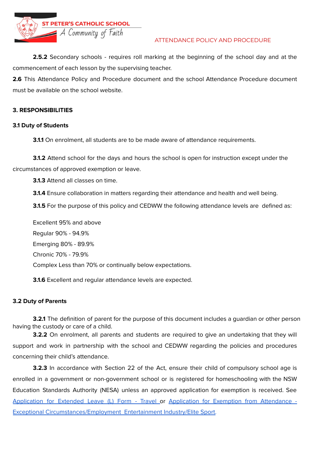

# ATTENDANCE POLICY AND PROCEDURE

**2.5.2** Secondary schools - requires roll marking at the beginning of the school day and at the commencement of each lesson by the supervising teacher.

**2.6** This Attendance Policy and Procedure document and the school Attendance Procedure document must be available on the school website.

# **3. RESPONSIBILITIES**

## **3.1 Duty of Students**

**3.1.1** On enrolment, all students are to be made aware of attendance requirements.

**3.1.2** Attend school for the days and hours the school is open for instruction except under the circumstances of approved exemption or leave.

**3.1.3** Attend all classes on time.

**3.1.4** Ensure collaboration in matters regarding their attendance and health and well being.

**3.1.5** For the purpose of this policy and CEDWW the following attendance levels are defined as:

Excellent 95% and above Regular 90% - 94.9% Emerging 80% - 89.9% Chronic 70% - 79.9% Complex Less than 70% or continually below expectations.

**3.1.6** Excellent and regular attendance levels are expected.

# **3.2 Duty of Parents**

**3.2.1** The definition of parent for the purpose of this document includes a guardian or other person having the custody or care of a child.

**3.2.2** On enrolment, all parents and students are required to give an undertaking that they will support and work in partnership with the school and CEDWW regarding the policies and procedures concerning their child's attendance.

**3.2.3** In accordance with Section 22 of the Act, ensure their child of compulsory school age is enrolled in a government or non-government school or is registered for homeschooling with the NSW Education Standards Authority (NESA) unless an approved application for exemption is received. See [Application](https://drive.google.com/file/d/14qAurBKpCmxrdWol6_YHPT2IC8FM8TAb/view) for Extended Leave (L) Form - Travel or Application for Exemption from [Attendance](https://drive.google.com/file/d/1LWq_ZV87c2ci5ZMsk9Mec0vq1vS0o94X/view) -Exceptional [Circumstances/Employment](https://drive.google.com/file/d/1LWq_ZV87c2ci5ZMsk9Mec0vq1vS0o94X/view) Entertainment Industry/Elite Sport.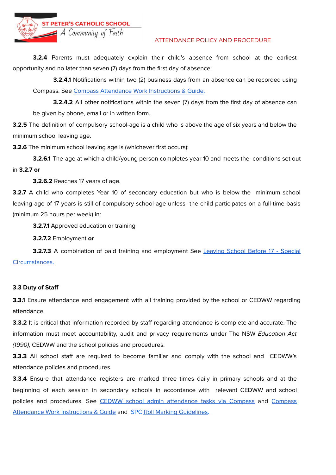**ST PETER'S CATHOLIC SCHOOL** 

Community of Faith

#### ATTENDANCE POLICY AND PROCEDURE

**3.2.4** Parents must adequately explain their child's absence from school at the earliest opportunity and no later than seven (7) days from the first day of absence:

**3.2.4.1** Notifications within two (2) business days from an absence can be recorded using Compass. See Compass [Attendance](https://docs.google.com/document/d/1Bh-Qu6nGhcKso8ZQ2vGZqi2pQQajw5PPEerIXPMlRnk/edit) Work Instructions & Guide.

**3.2.4.2** All other notifications within the seven (7) days from the first day of absence can be given by phone, email or in written form.

**3.2.5** The definition of compulsory school-age is a child who is above the age of six years and below the minimum school leaving age.

**3.2.6** The minimum school leaving age is (whichever first occurs):

**3.2.6.1** The age at which a child/young person completes year 10 and meets the conditions set out in **3.2.7 or**

**3.2.6.2** Reaches 17 years of age.

**3.2.7** A child who completes Year 10 of secondary education but who is below the minimum school leaving age of 17 years is still of compulsory school-age unless the child participates on a full-time basis (minimum 25 hours per week) in:

**3.2.7.1** Approved education or training

**3.2.7.2** Employment **or**

**3.2.7.3** A combination of paid training and employment See [Leaving](https://drive.google.com/file/d/1-ORo3TTV1WBiqKysHDdtVWvF6IJhwDfm/view) School Before 17 - Special [Circumstances](https://drive.google.com/file/d/1-ORo3TTV1WBiqKysHDdtVWvF6IJhwDfm/view).

## **3.3 Duty of Staff**

**3.3.1** Ensure attendance and engagement with all training provided by the school or CEDWW regarding attendance.

**3.3.2** It is critical that information recorded by staff regarding attendance is complete and accurate. The information must meet accountability, audit and privacy requirements under The NSW Education Act (1990), CEDWW and the school policies and procedures.

**3.3.3** All school staff are required to become familiar and comply with the school and CEDWW's attendance policies and procedures.

**3.3.4** Ensure that attendance registers are marked three times daily in primary schools and at the beginning of each session in secondary schools in accordance with relevant CEDWW and school policies and procedures. See CEDWW school admin [attendance](https://docs.google.com/document/d/1JhRn6Dt-aTvP2R6Q-vypxauLSmsoBwUmpJrDCR-hDOQ/edit) tasks via [Compass](https://docs.google.com/document/d/1Bh-Qu6nGhcKso8ZQ2vGZqi2pQQajw5PPEerIXPMlRnk/edit) and Compass [Attendance](https://docs.google.com/document/d/1Bh-Qu6nGhcKso8ZQ2vGZqi2pQQajw5PPEerIXPMlRnk/edit) Work Instructions & Guide and SPC Roll Marking [Guidelines.](https://docs.google.com/document/d/1mChJnuHKPJuECvKyPCP73FfmMzVNySEUbsMN-ggMxpQ/edit)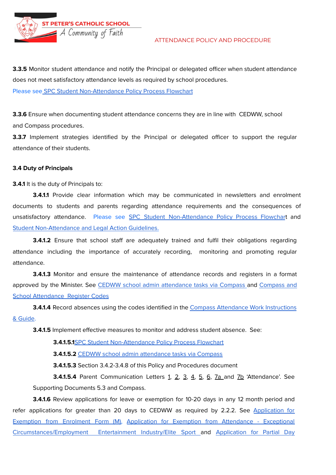**ST PETER'S CATHOLIC SCHOOL**  $\overline{\phantom{a}}$  A Community of Faith



**3.3.5** Monitor student attendance and notify the Principal or delegated officer when student attendance does not meet satisfactory attendance levels as required by school procedures. Please see SPC Student [Non-Attendance](https://drive.google.com/drive/folders/1IVoR3Z31RuDwipLGRl-Kxyrpnf5JnWIb) Policy Process Flowchart

**3.3.6** Ensure when documenting student attendance concerns they are in line with CEDWW, school and Compass procedures.

**3.3.7** Implement strategies identified by the Principal or delegated officer to support the regular attendance of their students.

#### **3.4 Duty of Principals**

**3.4.1** It is the duty of Principals to:

**3.4.1.1** Provide clear information which may be communicated in newsletters and enrolment documents to students and parents regarding attendance requirements and the consequences of unsatisfactory attendance. Please see SPC Student [Non-Attendance](https://drive.google.com/drive/folders/1IVoR3Z31RuDwipLGRl-Kxyrpnf5JnWIb) Policy Process Flowchart and Student [Non-Attendance](https://drive.google.com/file/d/1la4_a_PnBGNQTJcKDExrpKBVKuqsz6M2/view) and Legal Action Guidelines.

**3.4.1.2** Ensure that school staff are adequately trained and fulfil their obligations regarding attendance including the importance of accurately recording, monitoring and promoting regular attendance.

**3.4.1.3** Monitor and ensure the maintenance of attendance records and registers in a format approved by the Minister. See CEDWW school admin [attendance](https://docs.google.com/document/d/1JhRn6Dt-aTvP2R6Q-vypxauLSmsoBwUmpJrDCR-hDOQ/edit) tasks via Compass and [Compass](https://docs.google.com/document/d/12wuSIyRe4syStfWCjTLp3YHJ_yHpdvR9_mJuYObORhg/edit) and School [Attendance](https://docs.google.com/document/d/12wuSIyRe4syStfWCjTLp3YHJ_yHpdvR9_mJuYObORhg/edit) Register Codes

**3.4.1.4** Record absences using the codes identified in the Compass [Attendance](https://docs.google.com/document/d/1Bh-Qu6nGhcKso8ZQ2vGZqi2pQQajw5PPEerIXPMlRnk/edit) Work Instructions & [Guide](https://docs.google.com/document/d/1Bh-Qu6nGhcKso8ZQ2vGZqi2pQQajw5PPEerIXPMlRnk/edit).

**3.4.1.5** Implement effective measures to monitor and address student absence. See:

**3.4.1.5.1**SPC Student [Non-Attendance](https://drive.google.com/drive/folders/1IVoR3Z31RuDwipLGRl-Kxyrpnf5JnWIb) Policy Process Flowchart

**3.4.1.5.2** CEDWW school admin [attendance](https://docs.google.com/document/d/1JhRn6Dt-aTvP2R6Q-vypxauLSmsoBwUmpJrDCR-hDOQ/edit) tasks via Compass

**3.4.1.5.3** Section 3.4.2-3.4.8 of this Policy and Procedures document

**3.4.1.5.4** Parent Communication Letters 1, 2, 3, 4, 5, 6, 7a and 7b 'Attendance'. See Supporting Documents 5.3 and Compass.

**3.4.1.6** Review applications for leave or exemption for 10-20 days in any 12 month period and refer applications for greater than 20 days to CEDWW as required by 2.2.2. See [Application](https://drive.google.com/file/d/1fQ-SuderExoTmPhTsO5ZdlaocO0GZK8B/view) for [Exemption](https://drive.google.com/file/d/1fQ-SuderExoTmPhTsO5ZdlaocO0GZK8B/view) from Enrolment Form (M), Application for Exemption from [Attendance](https://drive.google.com/file/d/1LWq_ZV87c2ci5ZMsk9Mec0vq1vS0o94X/view) - Exceptional [Circumstances/Employment](https://drive.google.com/file/d/1LWq_ZV87c2ci5ZMsk9Mec0vq1vS0o94X/view) Entertainment Industry/Elite Sport and [Application](https://drive.google.com/file/d/1mUjGdGvnJKwLx9t82jN3Mj99L1IVpXTe/view) for Partial Day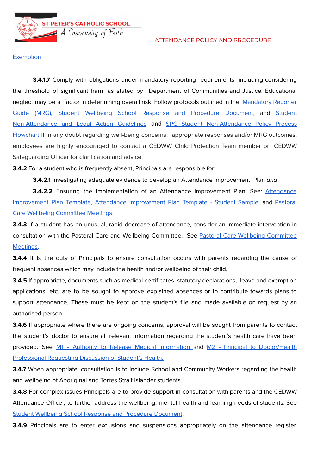**ST PETER'S CATHOLIC SCHOOL** Community of Faith

#### ATTENDANCE POLICY AND PROCEDURE

### **[Exemption](https://drive.google.com/file/d/1mUjGdGvnJKwLx9t82jN3Mj99L1IVpXTe/view)**

**3.4.1.7** Comply with obligations under mandatory reporting requirements including considering the threshold of significant harm as stated by Department of Communities and Justice. Educational neglect may be a factor in determining overall risk. Follow protocols outlined in the [Mandatory](https://reporter.childstory.nsw.gov.au/s/) Reporter Guide [\(MRG\),](https://reporter.childstory.nsw.gov.au/s/) Student Wellbeing School Response and [Procedure](https://sites.google.com/ww.catholic.edu.au/pastoral-care-wellbeing/student-wellbeing-school-response-and-procedure-document?authuser=0) Document, and [Student](https://drive.google.com/file/d/1la4_a_PnBGNQTJcKDExrpKBVKuqsz6M2/view) [Non-Attendance](https://drive.google.com/file/d/1la4_a_PnBGNQTJcKDExrpKBVKuqsz6M2/view) and Legal Action Guidelines and SPC Student [Non-Attendance](https://drive.google.com/drive/folders/1IVoR3Z31RuDwipLGRl-Kxyrpnf5JnWIb) Policy Process [Flowchart](https://drive.google.com/drive/folders/1IVoR3Z31RuDwipLGRl-Kxyrpnf5JnWIb) If in any doubt regarding well-being concerns, appropriate responses and/or MRG outcomes, employees are highly encouraged to contact a CEDWW Child Protection Team member or CEDWW Safeguarding Officer for clarification and advice.

**3.4.2** For a student who is frequently absent, Principals are responsible for:

**3.4.2.1** Investigating adequate evidence to develop an Attendance Improvement Plan and

**3.4.2.2** Ensuring the implementation of an [Attendance](https://drive.google.com/file/d/1PUrR1UiwBgedBPrRgO0liAj_LUQSL7QK/view) Improvement Plan. See: Attendance [Improvement](https://drive.google.com/file/d/1PUrR1UiwBgedBPrRgO0liAj_LUQSL7QK/view) Plan Template, Attendance [Improvement](https://drive.google.com/file/d/1FwhmVUU97DDpM-9E9pXW4YgU2Bllwf4q/view) Plan Template - Student Sample, and [Pastoral](https://sites.google.com/ww.catholic.edu.au/pastoral-care-wellbeing/wellbeing-committee-meetings?authuser=1) Care Wellbeing [Committee](https://sites.google.com/ww.catholic.edu.au/pastoral-care-wellbeing/wellbeing-committee-meetings?authuser=1) Meetings.

**3.4.3** If a student has an unusual, rapid decrease of attendance, consider an immediate intervention in consultation with the Pastoral Care and Wellbeing Committee. See Pastoral Care Wellbeing [Committee](https://sites.google.com/ww.catholic.edu.au/pastoral-care-wellbeing/wellbeing-committee-meetings?authuser=1) [Meetings.](https://sites.google.com/ww.catholic.edu.au/pastoral-care-wellbeing/wellbeing-committee-meetings?authuser=1)

**3.4.4** It is the duty of Principals to ensure consultation occurs with parents regarding the cause of frequent absences which may include the health and/or wellbeing of their child.

**3.4.5** If appropriate, documents such as medical certificates, statutory declarations, leave and exemption applications, etc. are to be sought to approve explained absences or to contribute towards plans to support attendance. These must be kept on the student's file and made available on request by an authorised person.

**3.4.6** If appropriate where there are ongoing concerns, approval will be sought from parents to contact the student's doctor to ensure all relevant information regarding the student's health care have been provided. See M1 - Authority to Release Medical [Information](https://drive.google.com/file/d/1syc1TpVDP3cRTp8x_4XSZfaYMIrGk3it/view?ts=5f880e0e) and M2 - Principal to [Doctor/Health](https://drive.google.com/file/d/1aNVBkF15zxYQcveAnxEk3UHQ6atC3j_x/view) [Professional](https://drive.google.com/file/d/1aNVBkF15zxYQcveAnxEk3UHQ6atC3j_x/view) Requesting Discussion of Student's Health.

**3.4.7** When appropriate, consultation is to include School and Community Workers regarding the health and wellbeing of Aboriginal and Torres Strait Islander students.

**3.4.8** For complex issues Principals are to provide support in consultation with parents and the CEDWW Attendance Officer, to further address the wellbeing, mental health and learning needs of students. See Student Wellbeing School Response and [Procedure](https://sites.google.com/ww.catholic.edu.au/pastoral-care-wellbeing/student-wellbeing-school-response-and-procedure-document?authuser=0) Document.

**3.4.9** Principals are to enter exclusions and suspensions appropriately on the attendance register.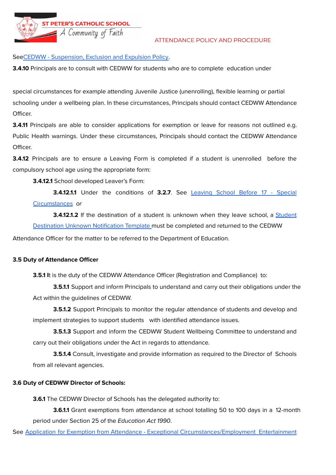**ST PETER'S CATHOLIC SCHOOL** 

#### ATTENDANCE POLICY AND PROCEDURE

## SeeCEDWW - [Suspension,](https://drive.google.com/file/d/11XlzXs42M5rElLHVCr9U0CdHyPPXFWhX/view) Exclusion and Expulsion Policy.

A Community of Faith

**3.4.10** Principals are to consult with CEDWW for students who are to complete education under

special circumstances for example attending Juvenile Justice (unenrolling), flexible learning or partial schooling under a wellbeing plan. In these circumstances, Principals should contact CEDWW Attendance Officer.

**3.4.11** Principals are able to consider applications for exemption or leave for reasons not outlined e.g. Public Health warnings. Under these circumstances, Principals should contact the CEDWW Attendance Officer.

**3.4.12** Principals are to ensure a Leaving Form is completed if a student is unenrolled before the compulsory school age using the appropriate form:

**3.4.12.1** School developed Leaver's Form:

**3.4.12.1.1** Under the conditions of **3.2.7**. See [Leaving](https://drive.google.com/file/d/1-ORo3TTV1WBiqKysHDdtVWvF6IJhwDfm/view) School Before 17 - Special [Circumstances](https://drive.google.com/file/d/1-ORo3TTV1WBiqKysHDdtVWvF6IJhwDfm/view) or

**3.4.12.1.2** If the destination of a student is unknown when they leave school, a [Student](https://drive.google.com/file/d/1RXAx8NZBgct-OWrAfizc21LCH2_KmxiY/view) Destination Unknown [Notification](https://drive.google.com/file/d/1RXAx8NZBgct-OWrAfizc21LCH2_KmxiY/view) Template must be completed and returned to the CEDWW

Attendance Officer for the matter to be referred to the Department of Education.

#### **3.5 Duty of Attendance Officer**

**3.5.1** It is the duty of the CEDWW Attendance Officer (Registration and Compliance) to:

**3.5.1.1** Support and inform Principals to understand and carry out their obligations under the Act within the guidelines of CEDWW.

**3.5.1.2** Support Principals to monitor the regular attendance of students and develop and implement strategies to support students with identified attendance issues.

**3.5.1.3** Support and inform the CEDWW Student Wellbeing Committee to understand and carry out their obligations under the Act in regards to attendance.

**3.5.1.4** Consult, investigate and provide information as required to the Director of Schools from all relevant agencies.

## **3.6 Duty of CEDWW Director of Schools:**

**3.6.1** The CEDWW Director of Schools has the delegated authority to:

**3.6.1.1** Grant exemptions from attendance at school totalling 50 to 100 days in a 12-month period under Section 25 of the Education Act 1990.

See Application for Exemption from Attendance - Exceptional [Circumstances/Employment](https://drive.google.com/file/d/1LWq_ZV87c2ci5ZMsk9Mec0vq1vS0o94X/view) Entertainment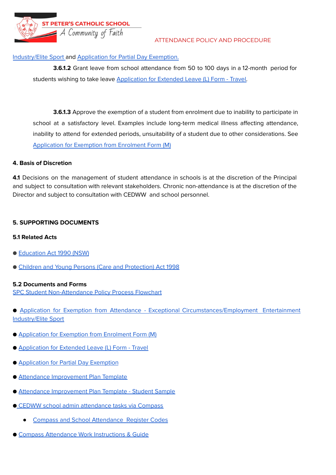**ST PETER'S CATHOLIC SCHOOL** A Community of Faith

## ATTENDANCE POLICY AND PROCEDURE

# [Industry/Elite](https://drive.google.com/file/d/1LWq_ZV87c2ci5ZMsk9Mec0vq1vS0o94X/view) Sport and [Application](https://drive.google.com/file/d/1mUjGdGvnJKwLx9t82jN3Mj99L1IVpXTe/view) for Partial Day Exemption.

**3.6.1.2** Grant leave from school attendance from 50 to 100 days in a 12-month period for students wishing to take leave [Application](https://drive.google.com/file/d/14qAurBKpCmxrdWol6_YHPT2IC8FM8TAb/view) for Extended Leave (L) Form - Travel.

**3.6.1.3** Approve the exemption of a student from enrolment due to inability to participate in school at a satisfactory level. Examples include long-term medical illness affecting attendance, inability to attend for extended periods, unsuitability of a student due to other considerations. See [Application](https://drive.google.com/file/d/1fQ-SuderExoTmPhTsO5ZdlaocO0GZK8B/view) for Exemption from Enrolment Form (M)

# **4. Basis of Discretion**

**4.1** Decisions on the management of student attendance in schools is at the discretion of the Principal and subject to consultation with relevant stakeholders. Chronic non-attendance is at the discretion of the Director and subject to consultation with CEDWW and school personnel.

# **5. SUPPORTING DOCUMENTS**

# **5.1 Related Acts**

- [Education](https://legislation.nsw.gov.au/view/html/inforce/current/act-1990-008) Act 1990 (NSW)
- Children and Young Persons (Care and [Protection\)](https://www.legislation.nsw.gov.au/view/html/inforce/current/act-1998-157) Act 1998

## **5.2 Documents and Forms**

SPC Student [Non-Attendance](https://drive.google.com/drive/folders/1IVoR3Z31RuDwipLGRl-Kxyrpnf5JnWIb) Policy Process Flowchart

- Application for Exemption from Attendance Exceptional [Circumstances/Employment](https://drive.google.com/file/d/1LWq_ZV87c2ci5ZMsk9Mec0vq1vS0o94X/view) Entertainment [Industry/Elite](https://drive.google.com/file/d/1LWq_ZV87c2ci5ZMsk9Mec0vq1vS0o94X/view) Sport
- [Application](https://drive.google.com/file/d/1fQ-SuderExoTmPhTsO5ZdlaocO0GZK8B/view) for Exemption from Enrolment Form (M)
- [Application](https://drive.google.com/file/d/14qAurBKpCmxrdWol6_YHPT2IC8FM8TAb/view) for Extended Leave (L) Form Travel
- [Application](https://drive.google.com/file/d/1mUjGdGvnJKwLx9t82jN3Mj99L1IVpXTe/view) for Partial Day Exemption
- Attendance [Improvement](https://drive.google.com/file/d/1PUrR1UiwBgedBPrRgO0liAj_LUQSL7QK/view) Plan Template
- Attendance [Improvement](https://drive.google.com/file/d/1FwhmVUU97DDpM-9E9pXW4YgU2Bllwf4q/view) Plan Template Student Sample
- CEDWW school admin [attendance](https://docs.google.com/document/d/1JhRn6Dt-aTvP2R6Q-vypxauLSmsoBwUmpJrDCR-hDOQ/edit) tasks via Compass
	- **Compass and School [Attendance](https://docs.google.com/document/d/12wuSIyRe4syStfWCjTLp3YHJ_yHpdvR9_mJuYObORhg/edit) Register Codes**
- Compass [Attendance](https://docs.google.com/document/d/1Bh-Qu6nGhcKso8ZQ2vGZqi2pQQajw5PPEerIXPMlRnk/edit) Work Instructions & Guide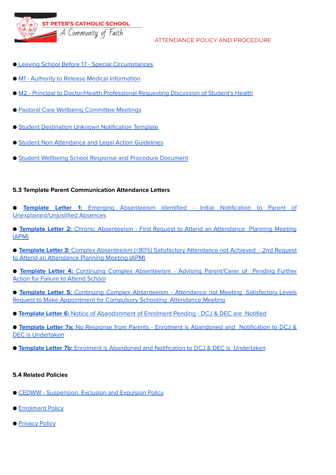**ST PETER'S CATHOLIC SCHOOL**  $\overline{\phantom{x}}$  A Community of Faith

## ATTENDANCE POLICY AND PROCEDURE

- Leaving School Before 17 Special [Circumstances](https://drive.google.com/file/d/1-ORo3TTV1WBiqKysHDdtVWvF6IJhwDfm/view)
- M1 Authority to Release Medical [Information](https://drive.google.com/file/d/1syc1TpVDP3cRTp8x_4XSZfaYMIrGk3it/view?ts=5f880e0e)
- M2 Principal to [Doctor/Health](https://drive.google.com/file/d/1aNVBkF15zxYQcveAnxEk3UHQ6atC3j_x/view) Professional Requesting Discussion of Student's Health
- Pastoral Care Wellbeing [Committee](https://sites.google.com/ww.catholic.edu.au/pastoral-care-wellbeing/wellbeing-committee-meetings?authuser=1) Meetings
- Student Destination Unknown [Notification](https://drive.google.com/file/d/1RXAx8NZBgct-OWrAfizc21LCH2_KmxiY/view) Template
- Student [Non-Attendance](https://drive.google.com/file/d/1la4_a_PnBGNQTJcKDExrpKBVKuqsz6M2/view) and Legal Action Guidelines
- Student Wellbeing School Response and [Procedure](https://sites.google.com/ww.catholic.edu.au/pastoral-care-wellbeing/student-wellbeing-school-response-and-procedure-document?authuser=0) Document

## **5.3 Template Parent Communication Attendance Letters**

- **Template Letter 1:** Emerging [Absenteeism](https://docs.google.com/document/d/1f6UbUB6gTB5E4hyWjJ30-kOJuIdlEtOMYcCR_kXBlNI/copy) Identified Initial Notification to Parent of [Unexplained/Unjustified](https://docs.google.com/document/d/1f6UbUB6gTB5E4hyWjJ30-kOJuIdlEtOMYcCR_kXBlNI/copy) Absences
- **Template Letter 2:** Chronic [Absenteeism](https://docs.google.com/document/d/10Ug1XfTu2FcOZztyhLaLP4tfAy6ryPGxia36VzzDRbc/copy) First Request to Attend an Attendance Planning Meeting [\(APM\)](https://docs.google.com/document/d/10Ug1XfTu2FcOZztyhLaLP4tfAy6ryPGxia36VzzDRbc/copy)
- **Template Letter 3:** Complex [Absenteeism](https://docs.google.com/document/d/1wuPdbgbpr0dXy7p820Rdhs3ZwKtrDUiZtNkXYJvF8_8/copy) (<80%) Satisfactory Attendance not Achieved 2nd Request to Attend an [Attendance](https://docs.google.com/document/d/1wuPdbgbpr0dXy7p820Rdhs3ZwKtrDUiZtNkXYJvF8_8/copy) Planning Meeting (APM)
- **Template Letter 4:** Continuing Complex [Absenteeism](https://docs.google.com/document/d/1DUzb4_0f2KMDtXwHeJZNkQANX39kSUQmkptMyaiuMXo/copy) Advising Parent/Carer of Pending Further Action for Failure to Attend [School](https://docs.google.com/document/d/1DUzb4_0f2KMDtXwHeJZNkQANX39kSUQmkptMyaiuMXo/copy)
- **Template Letter 5:** Continuing Complex [Absenteeism](https://docs.google.com/document/d/1lmzfckor1cgPYPD9Q7O8PRo1hAFG7BmKeerkpHOkCdk/copy) Attendance not Meeting Satisfactory Levels Request to Make [Appointment](https://docs.google.com/document/d/1lmzfckor1cgPYPD9Q7O8PRo1hAFG7BmKeerkpHOkCdk/copy) for Compulsory Schooling Attendance Meeting
- **Template Letter 6:** Notice of [Abandonment](https://docs.google.com/document/d/1KfZDEOjoXOx0lRo-200rxATbgGVNtbi3mIcxaDmmtzM/copy) of Enrolment Pending DCJ & DEC are Notified
- **Template Letter 7a:** No Response from Parents Enrolment is [Abandoned](https://docs.google.com/document/d/1XgFZDuzz6qqKfHxZqv3ipfN4IA8LAap_1C0AoV9Ri8U/copy) and Notification to DCJ & DEC is [Undertaken](https://docs.google.com/document/d/1XgFZDuzz6qqKfHxZqv3ipfN4IA8LAap_1C0AoV9Ri8U/copy)
- **Template Letter 7b:** Enrolment is Abandoned and Notification to DCJ & DEC is [Undertaken](https://docs.google.com/document/d/1sQl9oM9T8aIUwFcgwBV1ZJ7GJ679fOIoTNYhKnQZn0g/copy)

## **5.4 Related Policies**

- CEDWW [Suspension,](https://drive.google.com/file/d/11XlzXs42M5rElLHVCr9U0CdHyPPXFWhX/view) Exclusion and Expulsion Policy
- [Enrolment](https://drive.google.com/file/d/1KXEAhCpigD7Vvl7wS43hqKRtcO-CHtAB/view) Policy
- [Privacy](https://ww.catholic.edu.au/policy/privacy/) Policy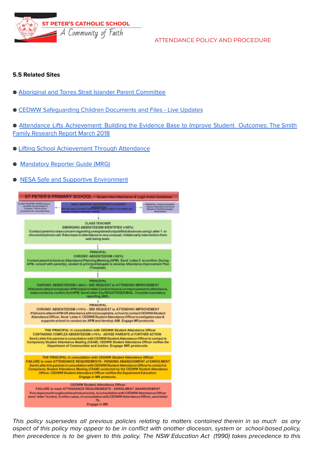**ST PETER'S CATHOLIC SCHOOL**  $\blacktriangleleft$  A Community of Faith

ATTENDANCE POLICY AND PROCEDURE

## **5.5 Related Sites**

- Aboriginal and Torres Strait Islander Parent [Committee](http://www.ccsp.catholic.edu.au/atsi)
- CEDWW [Safeguarding](https://staff.ww.catholic.edu.au/documents-files/safeguarding-children-documents-files/) Children Documents and Files Live Updates

● Attendance Lifts [Achievement:](https://www.thesmithfamily.com.au/-/media/files/research/reports/education-outcomes-report-attendance-lifts-achievement.pdf) Building the Evidence Base to Improve Student Outcomes: The Smith Family [Research](https://www.thesmithfamily.com.au/-/media/files/research/reports/education-outcomes-report-attendance-lifts-achievement.pdf) Report March 2018

- Lifting School [Achievement](https://www.thesmithfamily.com.au/research/reports/attendance-lifts-achievement) Through Attendance
- [Mandatory](https://reporter.childstory.nsw.gov.au/s/) Reporter Guide (MRG)
- NESA Safe and Supportive [Environment](https://rego.nesa.nsw.edu.au/safe-env)



This policy supersedes all previous policies relating to matters contained therein in so much as any aspect of this policy may appear to be in conflict with another diocesan, system or school-based policy, then precedence is to be given to this policy. The NSW Education Act (1990) takes precedence to this